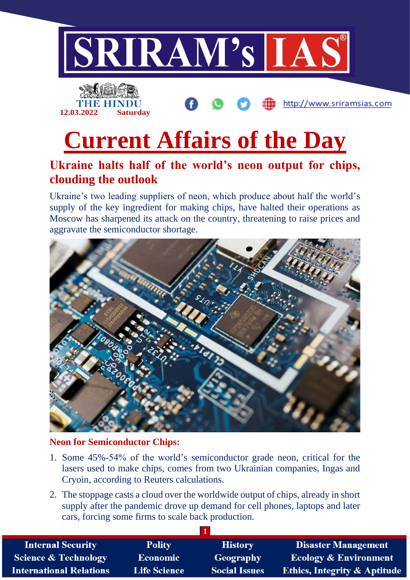



http://www.sriramsias.com

# **Current Affairs of the Day**

### **Ukraine halts half of the world's neon output for chips, clouding the outlook**

Ukraine's two leading suppliers of neon, which produce about half the world's supply of the key ingredient for making chips, have halted their operations as Moscow has sharpened its attack on the country, threatening to raise prices and aggravate the semiconductor shortage.



#### **Neon for Semiconductor Chips:**

- 1. Some 45%-54% of the world's semiconductor grade neon, critical for the lasers used to make chips, comes from two Ukrainian companies, Ingas and Cryoin, according to Reuters calculations.
- 2. The stoppage casts a cloud over the worldwide output of chips, already in short supply after the pandemic drove up demand for cell phones, laptops and later cars, forcing some firms to scale back production.

| <b>Internal Security</b>        | <b>Polity</b>       | <b>History</b>       | <b>Disaster Management</b>              |  |  |  |
|---------------------------------|---------------------|----------------------|-----------------------------------------|--|--|--|
| <b>Science &amp; Technology</b> | <b>Economic</b>     | Geography            | <b>Ecology &amp; Environment</b>        |  |  |  |
| <b>International Relations</b>  | <b>Life Science</b> | <b>Social Issues</b> | <b>Ethics, Integrity &amp; Aptitude</b> |  |  |  |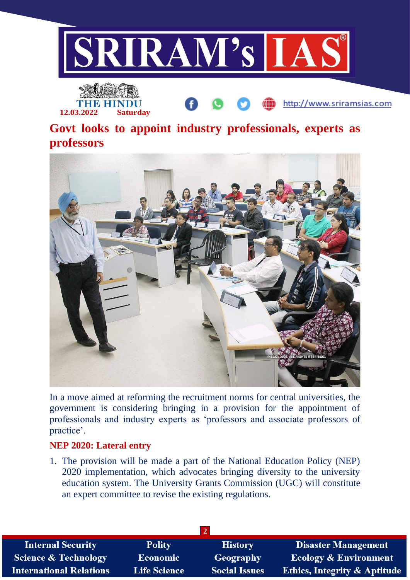



http://www.sriramsias.com

## **Govt looks to appoint industry professionals, experts as professors**



In a move aimed at reforming the recruitment norms for central universities, the government is considering bringing in a provision for the appointment of professionals and industry experts as 'professors and associate professors of practice'.

#### **NEP 2020: Lateral entry**

1. The provision will be made a part of the National Education Policy (NEP) 2020 implementation, which advocates bringing diversity to the university education system. The University Grants Commission (UGC) will constitute an expert committee to revise the existing regulations.

| <b>Internal Security</b>        | <b>Polity</b>       | <b>History</b>       | <b>Disaster Management</b>              |  |  |  |
|---------------------------------|---------------------|----------------------|-----------------------------------------|--|--|--|
| <b>Science &amp; Technology</b> | <b>Economic</b>     | Geography            | <b>Ecology &amp; Environment</b>        |  |  |  |
| <b>International Relations</b>  | <b>Life Science</b> | <b>Social Issues</b> | <b>Ethics, Integrity &amp; Aptitude</b> |  |  |  |